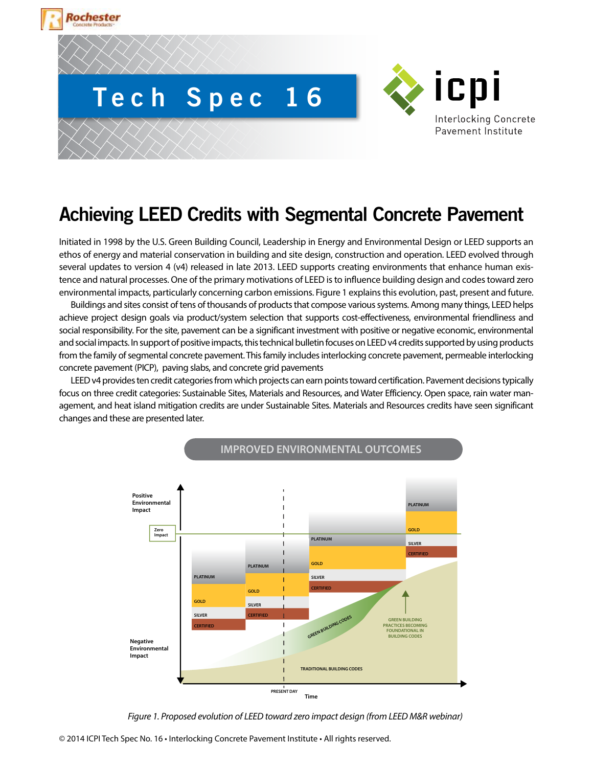



# **Achieving LEED Credits with Segmental Concrete Pavement**

Initiated in 1998 by the U.S. Green Building Council, Leadership in Energy and Environmental Design or LEED supports an ethos of energy and material conservation in building and site design, construction and operation. LEED evolved through several updates to version 4 (v4) released in late 2013. LEED supports creating environments that enhance human existence and natural processes. One of the primary motivations of LEED is to influence building design and codes toward zero environmental impacts, particularly concerning carbon emissions. Figure 1 explains this evolution, past, present and future.

Buildings and sites consist of tens of thousands of products that compose various systems. Among many things, LEED helps achieve project design goals via product/system selection that supports cost-effectiveness, environmental friendliness and social responsibility. For the site, pavement can be a significant investment with positive or negative economic, environmental and social impacts. In support of positive impacts, this technical bulletin focuses on LEED v4 credits supported by using products from the family of segmental concrete pavement. This family includes interlocking concrete pavement, permeable interlocking concrete pavement (PICP), paving slabs, and concrete grid pavements

LEED v4 provides ten credit categories from which projects can earn points toward certification. Pavement decisions typically focus on three credit categories: Sustainable Sites, Materials and Resources, and Water Efficiency. Open space, rain water management, and heat island mitigation credits are under Sustainable Sites. Materials and Resources credits have seen significant changes and these are presented later.



**IMPROVED ENVIRONMENTAL OUTCOMES**

*Figure 1. Proposed evolution of LEED toward zero impact design (from LEED M&R webinar)*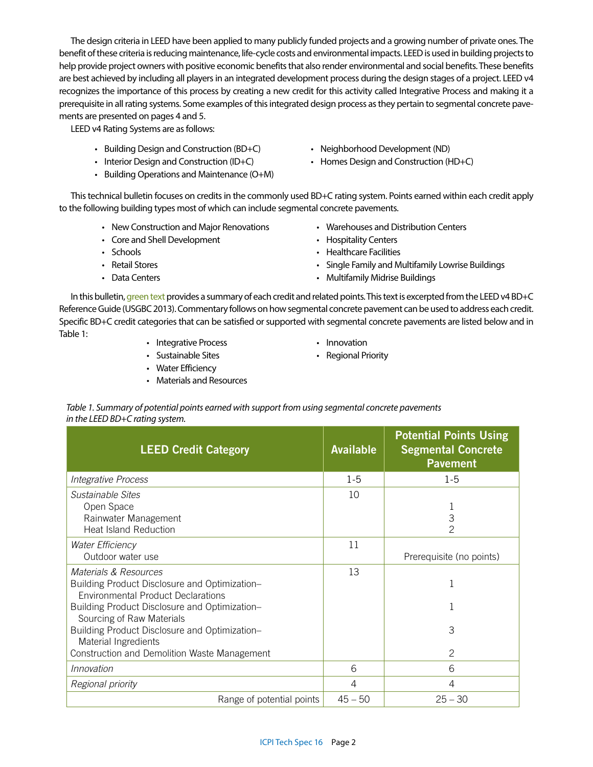The design criteria in LEED have been applied to many publicly funded projects and a growing number of private ones. The benefit of these criteria is reducing maintenance, life-cycle costs and environmental impacts. LEED is used in building projects to help provide project owners with positive economic benefits that also render environmental and social benefits. These benefits are best achieved by including all players in an integrated development process during the design stages of a project. LEED v4 recognizes the importance of this process by creating a new credit for this activity called Integrative Process and making it a prerequisite in all rating systems. Some examples of this integrated design process as they pertain to segmental concrete pavements are presented on pages 4 and 5.

LEED v4 Rating Systems are as follows:

- Building Design and Construction (BD+C)
- Interior Design and Construction (ID+C)
- Building Operations and Maintenance (O+M)
- Neighborhood Development (ND)
- Homes Design and Construction (HD+C)

This technical bulletin focuses on credits in the commonly used BD+C rating system. Points earned within each credit apply to the following building types most of which can include segmental concrete pavements.

- New Construction and Major Renovations
- Core and Shell Development
- Schools
- Retail Stores
- Data Centers
- Warehouses and Distribution Centers
- Hospitality Centers
- Healthcare Facilities
- Single Family and Multifamily Lowrise Buildings
- Multifamily Midrise Buildings

In this bulletin, green text provides a summary of each credit and related points. This text is excerpted from the LEED v4 BD+C Reference Guide (USGBC 2013). Commentary follows on how segmental concrete pavement can be used to address each credit. Specific BD+C credit categories that can be satisfied or supported with segmental concrete pavements are listed below and in Table 1: • • Integrative Process

- 
- Sustainable Sites
- Innovation • Regional Priority
- 
- Water Efficiency
- Materials and Resources

*Table 1. Summary of potential points earned with support from using segmental concrete pavements in the LEED BD+C rating system.*

| <b>LEED Credit Category</b>                                                                                         | <b>Available</b> | <b>Potential Points Using</b><br><b>Segmental Concrete</b><br><b>Pavement</b> |
|---------------------------------------------------------------------------------------------------------------------|------------------|-------------------------------------------------------------------------------|
| Integrative Process                                                                                                 | $1-5$            | $1 - 5$                                                                       |
| Sustainable Sites<br>Open Space<br>Rainwater Management<br><b>Heat Island Reduction</b>                             | 10               | 3<br>2                                                                        |
| <b>Water Efficiency</b><br>Outdoor water use                                                                        | 11               | Prerequisite (no points)                                                      |
| Materials & Resources<br>Building Product Disclosure and Optimization-<br><b>Environmental Product Declarations</b> | 13               |                                                                               |
| Building Product Disclosure and Optimization-<br>Sourcing of Raw Materials                                          |                  |                                                                               |
| Building Product Disclosure and Optimization-<br>Material Ingredients                                               |                  | 3                                                                             |
| Construction and Demolition Waste Management                                                                        |                  | 2                                                                             |
| Innovation                                                                                                          | 6                | 6                                                                             |
| Regional priority                                                                                                   | 4                | 4                                                                             |
| Range of potential points                                                                                           | $45 - 50$        | $25 - 30$                                                                     |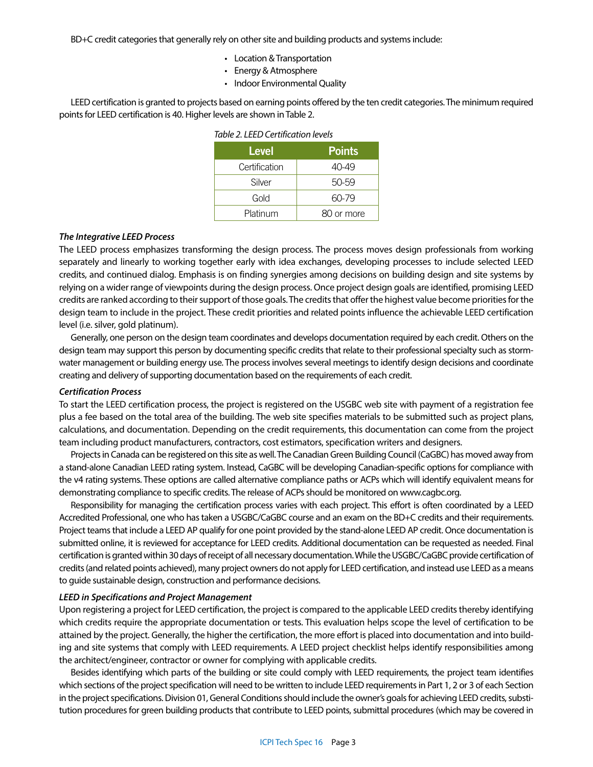BD+C credit categories that generally rely on other site and building products and systems include:

- Location & Transportation
- Energy & Atmosphere
- Indoor Environmental Quality

LEED certification is granted to projects based on earning points offered by the ten credit categories. The minimum required points for LEED certification is 40. Higher levels are shown in Table 2.

| <b>Level</b>  | <b>Points</b> |  |
|---------------|---------------|--|
| Certification | 40-49         |  |
| Silver        | 50-59         |  |
| Gold          | 60-79         |  |
| Platinum      | 80 or more    |  |

#### *The Integrative LEED Process*

The LEED process emphasizes transforming the design process. The process moves design professionals from working separately and linearly to working together early with idea exchanges, developing processes to include selected LEED credits, and continued dialog. Emphasis is on finding synergies among decisions on building design and site systems by relying on a wider range of viewpoints during the design process. Once project design goals are identified, promising LEED credits are ranked according to their support of those goals. The credits that offer the highest value become priorities for the design team to include in the project. These credit priorities and related points influence the achievable LEED certification level (i.e. silver, gold platinum).

Generally, one person on the design team coordinates and develops documentation required by each credit. Others on the design team may support this person by documenting specific credits that relate to their professional specialty such as stormwater management or building energy use. The process involves several meetings to identify design decisions and coordinate creating and delivery of supporting documentation based on the requirements of each credit.

#### *Certification Process*

To start the LEED certification process, the project is registered on the USGBC web site with payment of a registration fee plus a fee based on the total area of the building. The web site specifies materials to be submitted such as project plans, calculations, and documentation. Depending on the credit requirements, this documentation can come from the project team including product manufacturers, contractors, cost estimators, specification writers and designers.

Projects in Canada can be registered on this site as well. The Canadian Green Building Council (CaGBC) has moved away from a stand-alone Canadian LEED rating system. Instead, CaGBC will be developing Canadian-specific options for compliance with the v4 rating systems. These options are called alternative compliance paths or ACPs which will identify equivalent means for demonstrating compliance to specific credits. The release of ACPs should be monitored on www.cagbc.org.

Responsibility for managing the certification process varies with each project. This effort is often coordinated by a LEED Accredited Professional, one who has taken a USGBC/CaGBC course and an exam on the BD+C credits and their requirements. Project teams that include a LEED AP qualify for one point provided by the stand-alone LEED AP credit. Once documentation is submitted online, it is reviewed for acceptance for LEED credits. Additional documentation can be requested as needed. Final certification is granted within 30 days of receipt of all necessary documentation. While the USGBC/CaGBC provide certification of credits (and related points achieved), many project owners do not apply for LEED certification, and instead use LEED as a means to guide sustainable design, construction and performance decisions.

# *LEED in Specifications and Project Management*

Upon registering a project for LEED certification, the project is compared to the applicable LEED credits thereby identifying which credits require the appropriate documentation or tests. This evaluation helps scope the level of certification to be attained by the project. Generally, the higher the certification, the more effort is placed into documentation and into building and site systems that comply with LEED requirements. A LEED project checklist helps identify responsibilities among the architect/engineer, contractor or owner for complying with applicable credits.

Besides identifying which parts of the building or site could comply with LEED requirements, the project team identifies which sections of the project specification will need to be written to include LEED requirements in Part 1, 2 or 3 of each Section in the project specifications. Division 01, General Conditions should include the owner's goals for achieving LEED credits, substitution procedures for green building products that contribute to LEED points, submittal procedures (which may be covered in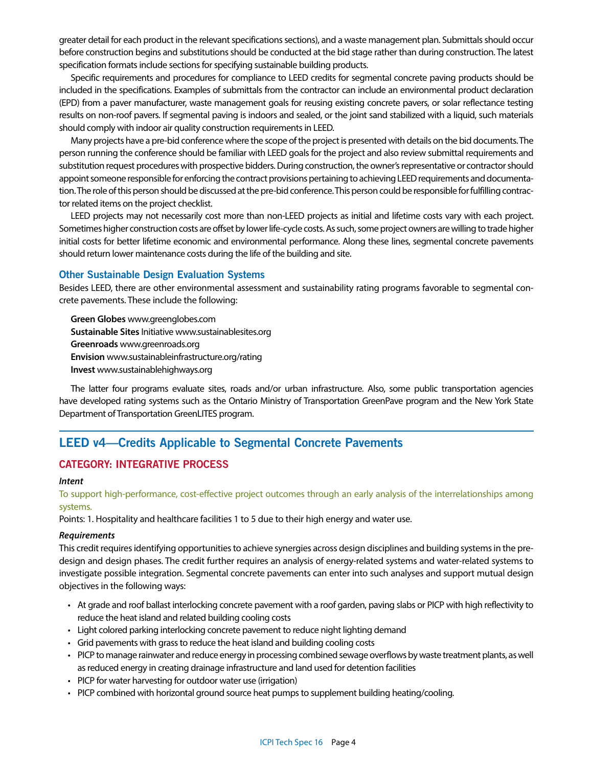greater detail for each product in the relevant specifications sections), and a waste management plan. Submittals should occur before construction begins and substitutions should be conducted at the bid stage rather than during construction. The latest specification formats include sections for specifying sustainable building products.

Specific requirements and procedures for compliance to LEED credits for segmental concrete paving products should be included in the specifications. Examples of submittals from the contractor can include an environmental product declaration (EPD) from a paver manufacturer, waste management goals for reusing existing concrete pavers, or solar reflectance testing results on non-roof pavers. If segmental paving is indoors and sealed, or the joint sand stabilized with a liquid, such materials should comply with indoor air quality construction requirements in LEED.

Many projects have a pre-bid conference where the scope of the project is presented with details on the bid documents. The person running the conference should be familiar with LEED goals for the project and also review submittal requirements and substitution request procedures with prospective bidders. During construction, the owner's representative or contractor should appoint someone responsible for enforcing the contract provisions pertaining to achieving LEED requirements and documentation. The role of this person should be discussed at the pre-bid conference. This person could be responsible for fulfilling contractor related items on the project checklist.

LEED projects may not necessarily cost more than non-LEED projects as initial and lifetime costs vary with each project. Sometimes higher construction costs are offset by lower life-cycle costs. As such, some project owners are willing to trade higher initial costs for better lifetime economic and environmental performance. Along these lines, segmental concrete pavements should return lower maintenance costs during the life of the building and site.

# **Other Sustainable Design Evaluation Systems**

Besides LEED, there are other environmental assessment and sustainability rating programs favorable to segmental concrete pavements. These include the following:

**Green Globes** www.greenglobes.com **Sustainable Sites** Initiative www.sustainablesites.org **Greenroads** www.greenroads.org **Envision** www.sustainableinfrastructure.org/rating **Invest** www.sustainablehighways.org

The latter four programs evaluate sites, roads and/or urban infrastructure. Also, some public transportation agencies have developed rating systems such as the Ontario Ministry of Transportation GreenPave program and the New York State Department of Transportation GreenLITES program.

# **LEED v4—Credits Applicable to Segmental Concrete Pavements**

# **CATEGORY: INTEGRATIVE PROCESS**

#### *Intent*

To support high-performance, cost-effective project outcomes through an early analysis of the interrelationships among systems.

Points: 1. Hospitality and healthcare facilities 1 to 5 due to their high energy and water use.

#### *Requirements*

This credit requires identifying opportunities to achieve synergies across design disciplines and building systems in the predesign and design phases. The credit further requires an analysis of energy-related systems and water-related systems to investigate possible integration. Segmental concrete pavements can enter into such analyses and support mutual design objectives in the following ways:

- At grade and roof ballast interlocking concrete pavement with a roof garden, paving slabs or PICP with high reflectivity to reduce the heat island and related building cooling costs
- Light colored parking interlocking concrete pavement to reduce night lighting demand
- Grid pavements with grass to reduce the heat island and building cooling costs
- PICP to manage rainwater and reduce energy in processing combined sewage overflows by waste treatment plants, as well as reduced energy in creating drainage infrastructure and land used for detention facilities
- PICP for water harvesting for outdoor water use (irrigation)
- PICP combined with horizontal ground source heat pumps to supplement building heating/cooling.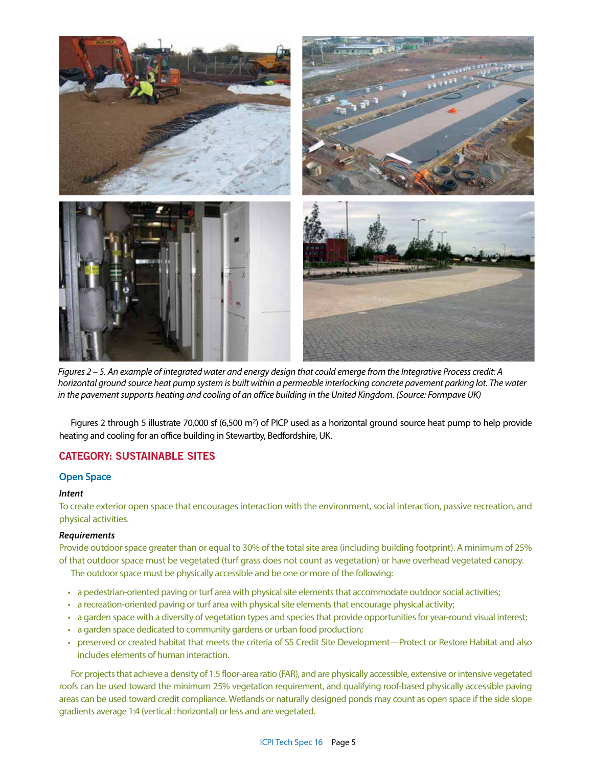

*Figures 2 – 5. An example of integrated water and energy design that could emerge from the Integrative Process credit: A horizontal ground source heat pump system is built within a permeable interlocking concrete pavement parking lot. The water in the pavement supports heating and cooling of an office building in the United Kingdom. (Source: Formpave UK)*

Figures 2 through 5 illustrate 70,000 sf (6,500 m<sup>2</sup>) of PICP used as a horizontal ground source heat pump to help provide heating and cooling for an office building in Stewartby, Bedfordshire, UK.

# **CATEGORY: SUSTAINABLE SITES**

# **Open Space**

#### *Intent*

To create exterior open space that encourages interaction with the environment, social interaction, passive recreation, and physical activities.

#### *Requirements*

Provide outdoor space greater than or equal to 30% of the total site area (including building footprint). A minimum of 25% of that outdoor space must be vegetated (turf grass does not count as vegetation) or have overhead vegetated canopy.

The outdoor space must be physically accessible and be one or more of the following:

- a pedestrian-oriented paving or turf area with physical site elements that accommodate outdoor social activities;
- a recreation-oriented paving or turf area with physical site elements that encourage physical activity;
- a garden space with a diversity of vegetation types and species that provide opportunities for year-round visual interest;
- a garden space dedicated to community gardens or urban food production;
- preserved or created habitat that meets the criteria of SS Credit Site Development—Protect or Restore Habitat and also includes elements of human interaction.

For projects that achieve a density of 1.5 floor-area ratio (FAR), and are physically accessible, extensive or intensive vegetated roofs can be used toward the minimum 25% vegetation requirement, and qualifying roof-based physically accessible paving areas can be used toward credit compliance. Wetlands or naturally designed ponds may count as open space if the side slope gradients average 1:4 (vertical : horizontal) or less and are vegetated.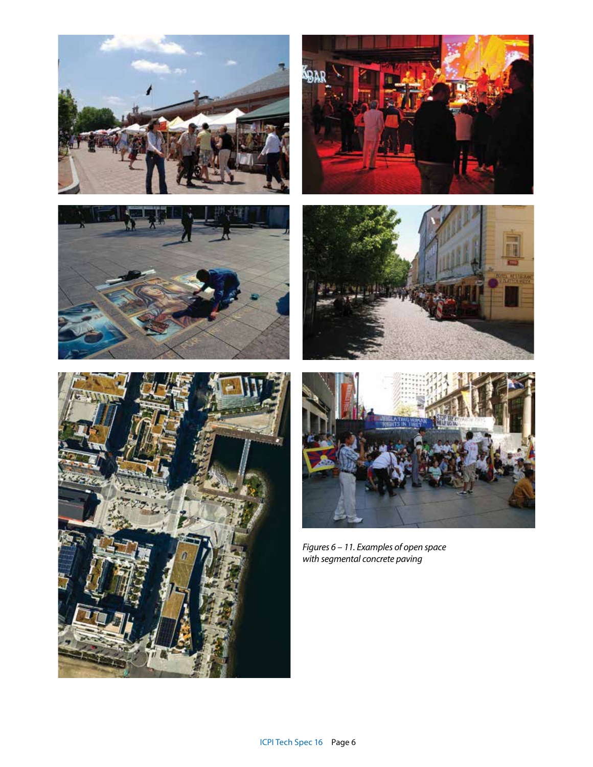











*Figures 6 – 11. Examples of open space with segmental concrete paving*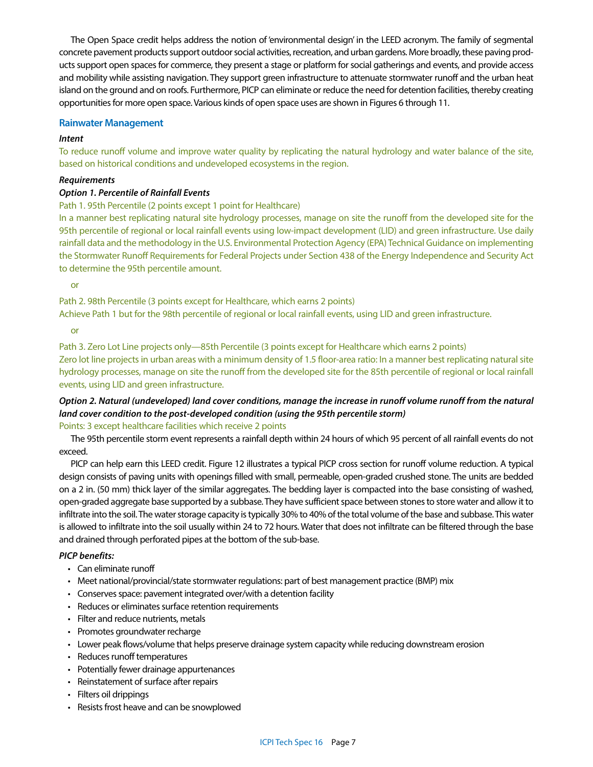The Open Space credit helps address the notion of 'environmental design' in the LEED acronym. The family of segmental concrete pavement products support outdoor social activities, recreation, and urban gardens. More broadly, these paving products support open spaces for commerce, they present a stage or platform for social gatherings and events, and provide access and mobility while assisting navigation. They support green infrastructure to attenuate stormwater runoff and the urban heat island on the ground and on roofs. Furthermore, PICP can eliminate or reduce the need for detention facilities, thereby creating opportunities for more open space. Various kinds of open space uses are shown in Figures 6 through 11.

# **Rainwater Management**

# *Intent*

To reduce runoff volume and improve water quality by replicating the natural hydrology and water balance of the site, based on historical conditions and undeveloped ecosystems in the region.

# *Requirements*

# *Option 1. Percentile of Rainfall Events*

# Path 1. 95th Percentile (2 points except 1 point for Healthcare)

In a manner best replicating natural site hydrology processes, manage on site the runoff from the developed site for the 95th percentile of regional or local rainfall events using low-impact development (LID) and green infrastructure. Use daily rainfall data and the methodology in the U.S. Environmental Protection Agency (EPA) Technical Guidance on implementing the Stormwater Runoff Requirements for Federal Projects under Section 438 of the Energy Independence and Security Act to determine the 95th percentile amount.

or

Path 2. 98th Percentile (3 points except for Healthcare, which earns 2 points) Achieve Path 1 but for the 98th percentile of regional or local rainfall events, using LID and green infrastructure.

or

Path 3. Zero Lot Line projects only—85th Percentile (3 points except for Healthcare which earns 2 points) Zero lot line projects in urban areas with a minimum density of 1.5 floor-area ratio: In a manner best replicating natural site hydrology processes, manage on site the runoff from the developed site for the 85th percentile of regional or local rainfall events, using LID and green infrastructure.

# *Option 2. Natural (undeveloped) land cover conditions, manage the increase in runoff volume runoff from the natural land cover condition to the post-developed condition (using the 95th percentile storm)*

Points: 3 except healthcare facilities which receive 2 points

The 95th percentile storm event represents a rainfall depth within 24 hours of which 95 percent of all rainfall events do not exceed.

PICP can help earn this LEED credit. Figure 12 illustrates a typical PICP cross section for runoff volume reduction. A typical design consists of paving units with openings filled with small, permeable, open-graded crushed stone. The units are bedded on a 2 in. (50 mm) thick layer of the similar aggregates. The bedding layer is compacted into the base consisting of washed, open-graded aggregate base supported by a subbase. They have sufficient space between stones to store water and allow it to infiltrate into the soil. The water storage capacity is typically 30% to 40% of the total volume of the base and subbase. This water is allowed to infiltrate into the soil usually within 24 to 72 hours. Water that does not infiltrate can be filtered through the base and drained through perforated pipes at the bottom of the sub-base.

# *PICP benefits:*

- Can eliminate runoff
- Meet national/provincial/state stormwater regulations: part of best management practice (BMP) mix
- Conserves space: pavement integrated over/with a detention facility
- Reduces or eliminates surface retention requirements
- Filter and reduce nutrients, metals
- Promotes groundwater recharge
- Lower peak flows/volume that helps preserve drainage system capacity while reducing downstream erosion
- Reduces runoff temperatures
- Potentially fewer drainage appurtenances
- Reinstatement of surface after repairs
- Filters oil drippings
- Resists frost heave and can be snowplowed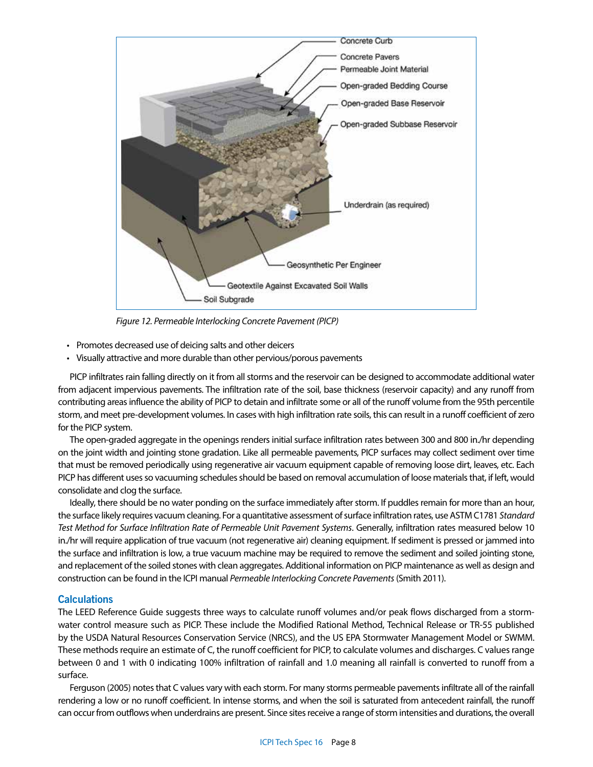

*Figure 12. Permeable Interlocking Concrete Pavement (PICP)*

- Promotes decreased use of deicing salts and other deicers
- Visually attractive and more durable than other pervious/porous pavements

PICP infiltrates rain falling directly on it from all storms and the reservoir can be designed to accommodate additional water from adjacent impervious pavements. The infiltration rate of the soil, base thickness (reservoir capacity) and any runoff from contributing areas influence the ability of PICP to detain and infiltrate some or all of the runoff volume from the 95th percentile storm, and meet pre-development volumes. In cases with high infiltration rate soils, this can result in a runoff coefficient of zero for the PICP system.

The open-graded aggregate in the openings renders initial surface infiltration rates between 300 and 800 in./hr depending on the joint width and jointing stone gradation. Like all permeable pavements, PICP surfaces may collect sediment over time that must be removed periodically using regenerative air vacuum equipment capable of removing loose dirt, leaves, etc. Each PICP has different uses so vacuuming schedules should be based on removal accumulation of loose materials that, if left, would consolidate and clog the surface.

Ideally, there should be no water ponding on the surface immediately after storm. If puddles remain for more than an hour, the surface likely requires vacuum cleaning. For a quantitative assessment of surface infiltration rates, use ASTM C1781 *Standard Test Method for Surface Infiltration Rate of Permeable Unit Pavement Systems*. Generally, infiltration rates measured below 10 in./hr will require application of true vacuum (not regenerative air) cleaning equipment. If sediment is pressed or jammed into the surface and infiltration is low, a true vacuum machine may be required to remove the sediment and soiled jointing stone, and replacement of the soiled stones with clean aggregates. Additional information on PICP maintenance as well as design and construction can be found in the ICPI manual *Permeable Interlocking Concrete Pavements* (Smith 2011).

# **Calculations**

The LEED Reference Guide suggests three ways to calculate runoff volumes and/or peak flows discharged from a stormwater control measure such as PICP. These include the Modified Rational Method, Technical Release or TR-55 published by the USDA Natural Resources Conservation Service (NRCS), and the US EPA Stormwater Management Model or SWMM. These methods require an estimate of C, the runoff coefficient for PICP, to calculate volumes and discharges. C values range between 0 and 1 with 0 indicating 100% infiltration of rainfall and 1.0 meaning all rainfall is converted to runoff from a surface.

Ferguson (2005) notes that C values vary with each storm. For many storms permeable pavements infiltrate all of the rainfall rendering a low or no runoff coefficient. In intense storms, and when the soil is saturated from antecedent rainfall, the runoff can occur from outflows when underdrains are present. Since sites receive a range of storm intensities and durations, the overall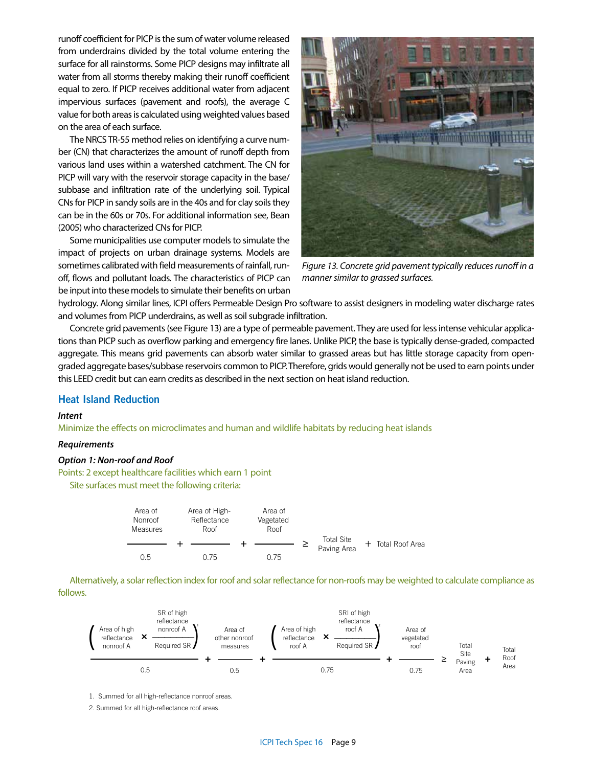runoff coefficient for PICP is the sum of water volume released from underdrains divided by the total volume entering the surface for all rainstorms. Some PICP designs may infiltrate all water from all storms thereby making their runoff coefficient equal to zero. If PICP receives additional water from adjacent impervious surfaces (pavement and roofs), the average C value for both areas is calculated using weighted values based on the area of each surface.

The NRCS TR-55 method relies on identifying a curve number (CN) that characterizes the amount of runoff depth from various land uses within a watershed catchment. The CN for PICP will vary with the reservoir storage capacity in the base/ subbase and infiltration rate of the underlying soil. Typical CNs for PICP in sandy soils are in the 40s and for clay soils they can be in the 60s or 70s. For additional information see, Bean (2005) who characterized CNs for PICP.

Some municipalities use computer models to simulate the impact of projects on urban drainage systems. Models are sometimes calibrated with field measurements of rainfall, runoff, flows and pollutant loads. The characteristics of PICP can be input into these models to simulate their benefits on urban



*Figure 13. Concrete grid pavement typically reduces runoff in a manner similar to grassed surfaces.* 

hydrology. Along similar lines, ICPI offers Permeable Design Pro software to assist designers in modeling water discharge rates and volumes from PICP underdrains, as well as soil subgrade infiltration.

Concrete grid pavements (see Figure 13) are a type of permeable pavement. They are used for less intense vehicular applications than PICP such as overflow parking and emergency fire lanes. Unlike PICP, the base is typically dense-graded, compacted aggregate. This means grid pavements can absorb water similar to grassed areas but has little storage capacity from opengraded aggregate bases/subbase reservoirs common to PICP. Therefore, grids would generally not be used to earn points under this LEED credit but can earn credits as described in the next section on heat island reduction.

# **Heat Island Reduction**

## *Intent*

Minimize the effects on microclimates and human and wildlife habitats by reducing heat islands

# *Requirements*

#### *Option 1: Non-roof and Roof*

Points: 2 except healthcare facilities which earn 1 point Site surfaces must meet the following criteria:



Alternatively, a solar reflection index for roof and solar reflectance for non-roofs may be weighted to calculate compliance as follows.



1. Summed for all high-reflectance nonroof areas.

2. Summed for all high-reflectance roof areas.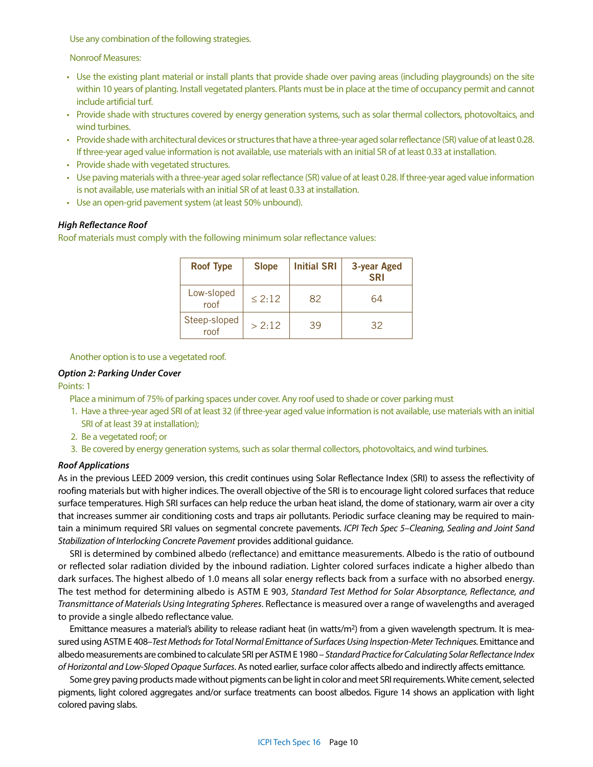Use any combination of the following strategies.

Nonroof Measures:

- Use the existing plant material or install plants that provide shade over paving areas (including playgrounds) on the site within 10 years of planting. Install vegetated planters. Plants must be in place at the time of occupancy permit and cannot include artificial turf.
- Provide shade with structures covered by energy generation systems, such as solar thermal collectors, photovoltaics, and wind turbines.
- Provide shade with architectural devices or structures that have a three-year aged solar reflectance (SR) value of at least 0.28. If three-year aged value information is not available, use materials with an initial SR of at least 0.33 at installation.
- Provide shade with vegetated structures.
- Use paving materials with a three-year aged solar reflectance (SR) value of at least 0.28. If three-year aged value information is not available, use materials with an initial SR of at least 0.33 at installation.
- Use an open-grid pavement system (at least 50% unbound).

#### *High Reflectance Roof*

Roof materials must comply with the following minimum solar reflectance values:

| <b>Roof Type</b>     | <b>Slope</b> | <b>Initial SRI</b> | 3-year Aged<br><b>SRI</b> |
|----------------------|--------------|--------------------|---------------------------|
| Low-sloped<br>roof   | < 2.12       | 82                 | 64                        |
| Steep-sloped<br>roof | > 2:12       | 39                 | 32                        |

Another option is to use a vegetated roof.

#### *Option 2: Parking Under Cover*

Points: 1

- Place a minimum of 75% of parking spaces under cover. Any roof used to shade or cover parking must
- 1. Have a three-year aged SRI of at least 32 (if three-year aged value information is not available, use materials with an initial SRI of at least 39 at installation);
- 2. Be a vegetated roof; or
- 3. Be covered by energy generation systems, such as solar thermal collectors, photovoltaics, and wind turbines.

#### *Roof Applications*

As in the previous LEED 2009 version, this credit continues using Solar Reflectance Index (SRI) to assess the reflectivity of roofing materials but with higher indices. The overall objective of the SRI is to encourage light colored surfaces that reduce surface temperatures. High SRI surfaces can help reduce the urban heat island, the dome of stationary, warm air over a city that increases summer air conditioning costs and traps air pollutants. Periodic surface cleaning may be required to maintain a minimum required SRI values on segmental concrete pavements. *ICPI Tech Spec 5–Cleaning, Sealing and Joint Sand Stabilization of Interlocking Concrete Pavement* provides additional guidance.

SRI is determined by combined albedo (reflectance) and emittance measurements. Albedo is the ratio of outbound or reflected solar radiation divided by the inbound radiation. Lighter colored surfaces indicate a higher albedo than dark surfaces. The highest albedo of 1.0 means all solar energy reflects back from a surface with no absorbed energy. The test method for determining albedo is ASTM E 903, *Standard Test Method for Solar Absorptance, Reflectance, and Transmittance of Materials Using Integrating Spheres*. Reflectance is measured over a range of wavelengths and averaged to provide a single albedo reflectance value.

Emittance measures a material's ability to release radiant heat (in watts/ $m^2$ ) from a given wavelength spectrum. It is measured using ASTM E 408–*Test Methods for Total Normal Emittance of Surfaces Using Inspection-Meter Techniques.* Emittance and albedo measurements are combined to calculate SRI per ASTM E 1980 – *Standard Practice for Calculating Solar Reflectance Index of Horizontal and Low-Sloped Opaque Surfaces*. As noted earlier, surface color affects albedo and indirectly affects emittance.

Some grey paving products made without pigments can be light in color and meet SRI requirements. White cement, selected pigments, light colored aggregates and/or surface treatments can boost albedos. Figure 14 shows an application with light colored paving slabs.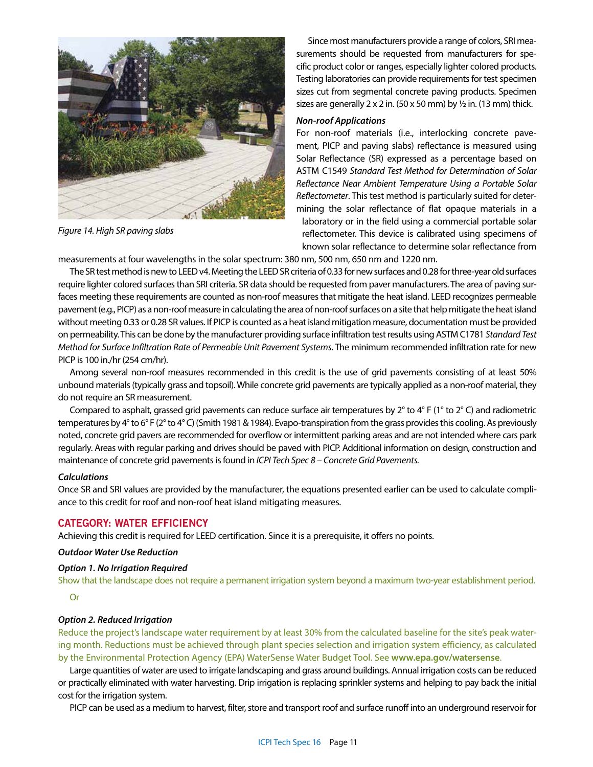

*Figure 14. High SR paving slabs* 

Since most manufacturers provide a range of colors, SRI measurements should be requested from manufacturers for specific product color or ranges, especially lighter colored products. Testing laboratories can provide requirements for test specimen sizes cut from segmental concrete paving products. Specimen sizes are generally 2 x 2 in. (50 x 50 mm) by  $\frac{1}{2}$  in. (13 mm) thick.

#### *Non-roof Applications*

For non-roof materials (i.e., interlocking concrete pavement, PICP and paving slabs) reflectance is measured using Solar Reflectance (SR) expressed as a percentage based on ASTM C1549 *Standard Test Method for Determination of Solar Reflectance Near Ambient Temperature Using a Portable Solar Reflectometer*. This test method is particularly suited for determining the solar reflectance of flat opaque materials in a laboratory or in the field using a commercial portable solar reflectometer. This device is calibrated using specimens of known solar reflectance to determine solar reflectance from

measurements at four wavelengths in the solar spectrum: 380 nm, 500 nm, 650 nm and 1220 nm.

The SR test method is new to LEED v4. Meeting the LEED SR criteria of 0.33 for new surfaces and 0.28 for three-year old surfaces require lighter colored surfaces than SRI criteria. SR data should be requested from paver manufacturers. The area of paving surfaces meeting these requirements are counted as non-roof measures that mitigate the heat island. LEED recognizes permeable pavement (e.g., PICP) as a non-roof measure in calculating the area of non-roof surfaces on a site that help mitigate the heat island without meeting 0.33 or 0.28 SR values. If PICP is counted as a heat island mitigation measure, documentation must be provided on permeability. This can be done by the manufacturer providing surface infiltration test results using ASTM C1781 *Standard Test Method for Surface Infiltration Rate of Permeable Unit Pavement Systems*. The minimum recommended infiltration rate for new PICP is 100 in./hr (254 cm/hr).

Among several non-roof measures recommended in this credit is the use of grid pavements consisting of at least 50% unbound materials (typically grass and topsoil). While concrete grid pavements are typically applied as a non-roof material, they do not require an SR measurement.

Compared to asphalt, grassed grid pavements can reduce surface air temperatures by  $2^{\circ}$  to  $4^{\circ}$  F (1° to  $2^{\circ}$  C) and radiometric temperatures by 4° to 6° F (2° to 4° C) (Smith 1981 & 1984). Evapo-transpiration from the grass provides this cooling. As previously noted, concrete grid pavers are recommended for overflow or intermittent parking areas and are not intended where cars park regularly. Areas with regular parking and drives should be paved with PICP. Additional information on design, construction and maintenance of concrete grid pavements is found in *ICPI Tech Spec 8 – Concrete Grid Pavements.*

## *Calculations*

Once SR and SRI values are provided by the manufacturer, the equations presented earlier can be used to calculate compliance to this credit for roof and non-roof heat island mitigating measures.

# **CATEGORY: WATER EFFICIENCY**

Achieving this credit is required for LEED certification. Since it is a prerequisite, it offers no points.

#### *Outdoor Water Use Reduction*

#### *Option 1. No Irrigation Required*

Show that the landscape does not require a permanent irrigation system beyond a maximum two-year establishment period.

Or

#### *Option 2. Reduced Irrigation*

Reduce the project's landscape water requirement by at least 30% from the calculated baseline for the site's peak watering month. Reductions must be achieved through plant species selection and irrigation system efficiency, as calculated by the Environmental Protection Agency (EPA) WaterSense Water Budget Tool. See **www.epa.gov/watersense**.

Large quantities of water are used to irrigate landscaping and grass around buildings. Annual irrigation costs can be reduced or practically eliminated with water harvesting. Drip irrigation is replacing sprinkler systems and helping to pay back the initial cost for the irrigation system.

PICP can be used as a medium to harvest, filter, store and transport roof and surface runoff into an underground reservoir for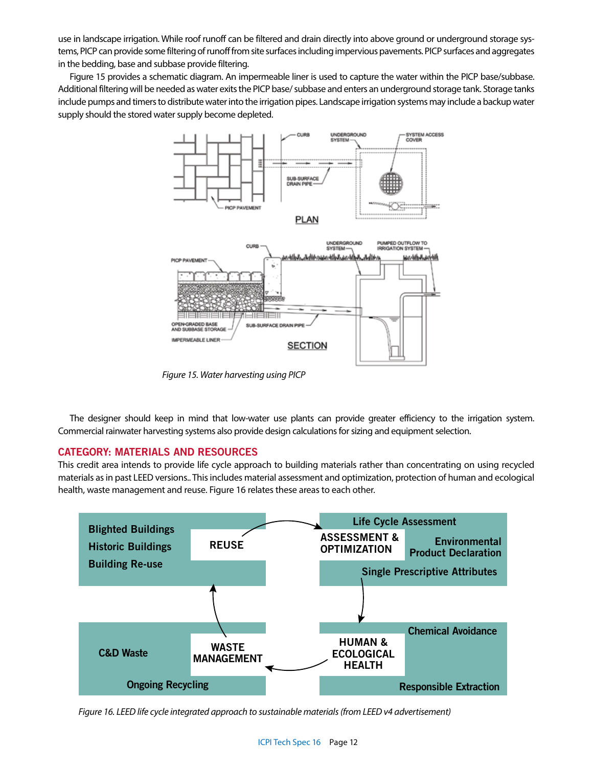use in landscape irrigation. While roof runoff can be filtered and drain directly into above ground or underground storage systems, PICP can provide some filtering of runoff from site surfaces including impervious pavements. PICP surfaces and aggregates in the bedding, base and subbase provide filtering.

Figure 15 provides a schematic diagram. An impermeable liner is used to capture the water within the PICP base/subbase. Additional filtering will be needed as water exits the PICP base/ subbase and enters an underground storage tank. Storage tanks include pumps and timers to distribute water into the irrigation pipes. Landscape irrigation systems may include a backup water supply should the stored water supply become depleted.



*Figure 15. Water harvesting using PICP*

The designer should keep in mind that low-water use plants can provide greater efficiency to the irrigation system. Commercial rainwater harvesting systems also provide design calculations for sizing and equipment selection.

# **CATEGORY: MATERIALS AND RESOURCES**

This credit area intends to provide life cycle approach to building materials rather than concentrating on using recycled materials as in past LEED versions.. This includes material assessment and optimization, protection of human and ecological health, waste management and reuse. Figure 16 relates these areas to each other.



*Figure 16. LEED life cycle integrated approach to sustainable materials (from LEED v4 advertisement)*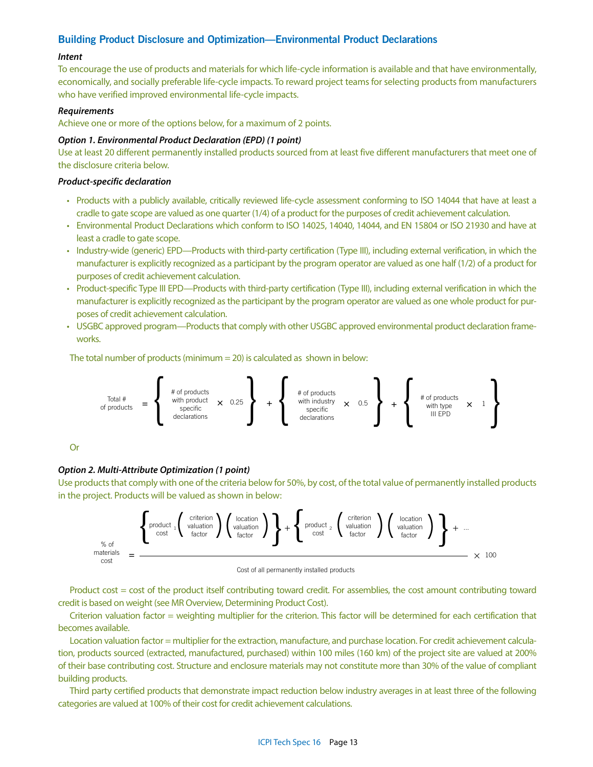# **Building Product Disclosure and Optimization—Environmental Product Declarations**

#### *Intent*

To encourage the use of products and materials for which life-cycle information is available and that have environmentally, economically, and socially preferable life-cycle impacts. To reward project teams for selecting products from manufacturers who have verified improved environmental life-cycle impacts.

#### *Requirements*

Achieve one or more of the options below, for a maximum of 2 points.

#### *Option 1. Environmental Product Declaration (EPD) (1 point)*

Use at least 20 different permanently installed products sourced from at least five different manufacturers that meet one of the disclosure criteria below.

## *Product-specific declaration*

- Products with a publicly available, critically reviewed life-cycle assessment conforming to ISO 14044 that have at least a cradle to gate scope are valued as one quarter (1/4) of a product for the purposes of credit achievement calculation.
- Environmental Product Declarations which conform to ISO 14025, 14040, 14044, and EN 15804 or ISO 21930 and have at least a cradle to gate scope.
- Industry-wide (generic) EPD—Products with third-party certification (Type III), including external verification, in which the manufacturer is explicitly recognized as a participant by the program operator are valued as one half (1/2) of a product for purposes of credit achievement calculation.
- Product-specific Type III EPD—Products with third-party certification (Type III), including external verification in which the manufacturer is explicitly recognized as the participant by the program operator are valued as one whole product for purposes of credit achievement calculation.
- USGBC approved program—Products that comply with other USGBC approved environmental product declaration frameworks.

The total number of products (minimum = 20) is calculated as shown in below:



Or

# *Option 2. Multi-Attribute Optimization (1 point)*

Use products that comply with one of the criteria below for 50%, by cost, of the total value of permanently installed products in the project. Products will be valued as shown in below:



Cost of all permanently installed products

Product cost = cost of the product itself contributing toward credit. For assemblies, the cost amount contributing toward credit is based on weight (see MR Overview, Determining Product Cost).

Criterion valuation factor = weighting multiplier for the criterion. This factor will be determined for each certification that becomes available.

Location valuation factor = multiplier for the extraction, manufacture, and purchase location. For credit achievement calculation, products sourced (extracted, manufactured, purchased) within 100 miles (160 km) of the project site are valued at 200% of their base contributing cost. Structure and enclosure materials may not constitute more than 30% of the value of compliant building products.

Third party certified products that demonstrate impact reduction below industry averages in at least three of the following categories are valued at 100% of their cost for credit achievement calculations.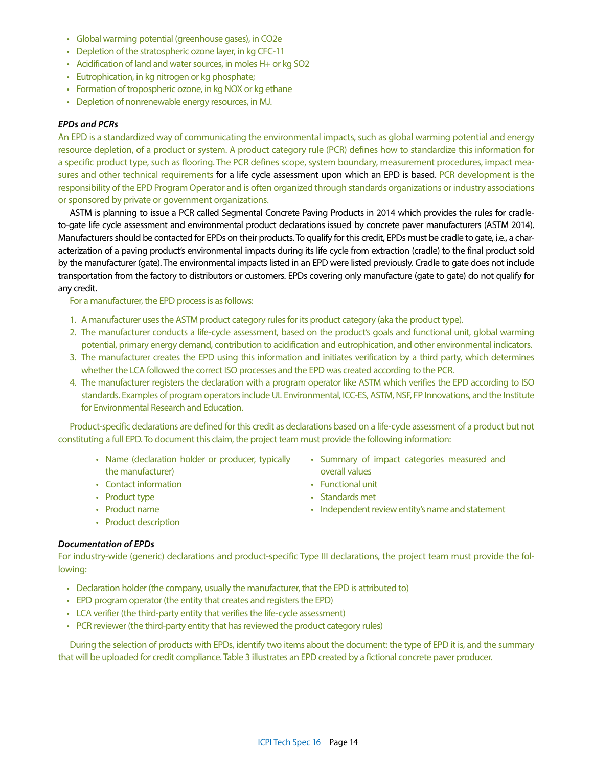- Global warming potential (greenhouse gases), in CO2e
- Depletion of the stratospheric ozone layer, in kg CFC-11
- Acidification of land and water sources, in moles H+ or kg SO2
- Eutrophication, in kg nitrogen or kg phosphate;
- Formation of tropospheric ozone, in kg NOX or kg ethane
- Depletion of nonrenewable energy resources, in MJ.

# *EPDs and PCRs*

An EPD is a standardized way of communicating the environmental impacts, such as global warming potential and energy resource depletion, of a product or system. A product category rule (PCR) defines how to standardize this information for a specific product type, such as flooring. The PCR defines scope, system boundary, measurement procedures, impact measures and other technical requirements for a life cycle assessment upon which an EPD is based. PCR development is the responsibility of the EPD Program Operator and is often organized through standards organizations or industry associations or sponsored by private or government organizations.

ASTM is planning to issue a PCR called Segmental Concrete Paving Products in 2014 which provides the rules for cradleto-gate life cycle assessment and environmental product declarations issued by concrete paver manufacturers (ASTM 2014). Manufacturers should be contacted for EPDs on their products. To qualify for this credit, EPDs must be cradle to gate, i.e., a characterization of a paving product's environmental impacts during its life cycle from extraction (cradle) to the final product sold by the manufacturer (gate). The environmental impacts listed in an EPD were listed previously. Cradle to gate does not include transportation from the factory to distributors or customers. EPDs covering only manufacture (gate to gate) do not qualify for any credit.

For a manufacturer, the EPD process is as follows:

- 1. A manufacturer uses the ASTM product category rules for its product category (aka the product type).
- 2. The manufacturer conducts a life-cycle assessment, based on the product's goals and functional unit, global warming potential, primary energy demand, contribution to acidification and eutrophication, and other environmental indicators.
- 3. The manufacturer creates the EPD using this information and initiates verification by a third party, which determines whether the LCA followed the correct ISO processes and the EPD was created according to the PCR.
- 4. The manufacturer registers the declaration with a program operator like ASTM which verifies the EPD according to ISO standards. Examples of program operators include UL Environmental, ICC-ES, ASTM, NSF, FP Innovations, and the Institute for Environmental Research and Education.

Product-specific declarations are defined for this credit as declarations based on a life-cycle assessment of a product but not constituting a full EPD. To document this claim, the project team must provide the following information:

- Name (declaration holder or producer, typically the manufacturer)
- Contact information
- Product type
- Product name
- Product description
- Summary of impact categories measured and overall values
- Functional unit
- Standards met
- Independent review entity's name and statement

#### *Documentation of EPDs*

For industry-wide (generic) declarations and product-specific Type III declarations, the project team must provide the following:

- Declaration holder (the company, usually the manufacturer, that the EPD is attributed to)
- EPD program operator (the entity that creates and registers the EPD)
- LCA verifier (the third-party entity that verifies the life-cycle assessment)
- PCR reviewer (the third-party entity that has reviewed the product category rules)

During the selection of products with EPDs, identify two items about the document: the type of EPD it is, and the summary that will be uploaded for credit compliance. Table 3 illustrates an EPD created by a fictional concrete paver producer.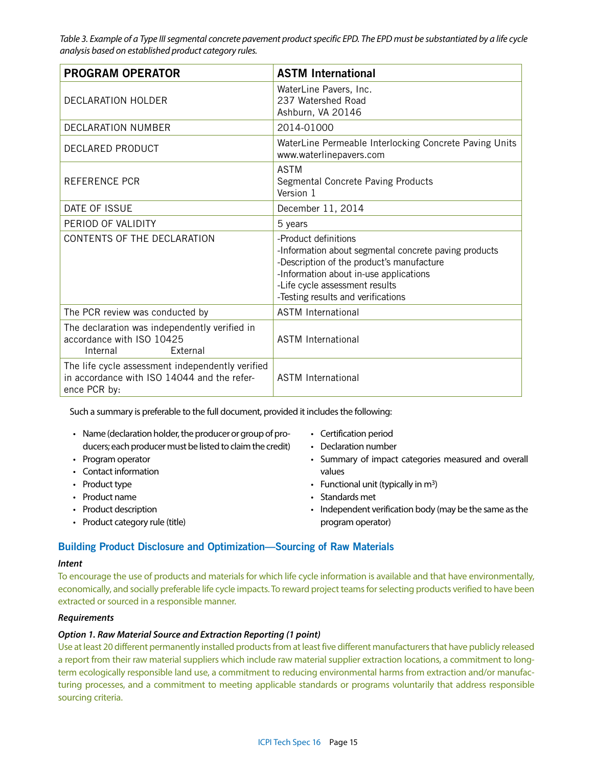*Table 3. Example of a Type III segmental concrete pavement product specific EPD. The EPD must be substantiated by a life cycle analysis based on established product category rules.* 

| <b>PROGRAM OPERATOR</b>                                                                                         | <b>ASTM International</b>                                                                                                                                                                                                                    |
|-----------------------------------------------------------------------------------------------------------------|----------------------------------------------------------------------------------------------------------------------------------------------------------------------------------------------------------------------------------------------|
| DECLARATION HOLDER                                                                                              | WaterLine Pavers, Inc.<br>237 Watershed Road<br>Ashburn, VA 20146                                                                                                                                                                            |
| <b>DECLARATION NUMBER</b>                                                                                       | 2014-01000                                                                                                                                                                                                                                   |
| DECLARED PRODUCT                                                                                                | WaterLine Permeable Interlocking Concrete Paving Units<br>www.waterlinepavers.com                                                                                                                                                            |
| <b>REFERENCE PCR</b>                                                                                            | <b>ASTM</b><br>Segmental Concrete Paving Products<br>Version 1                                                                                                                                                                               |
| DATE OF ISSUE                                                                                                   | December 11, 2014                                                                                                                                                                                                                            |
| PERIOD OF VALIDITY                                                                                              | 5 years                                                                                                                                                                                                                                      |
| CONTENTS OF THE DECLARATION                                                                                     | -Product definitions<br>-Information about segmental concrete paving products<br>-Description of the product's manufacture<br>-Information about in-use applications<br>-Life cycle assessment results<br>-Testing results and verifications |
| The PCR review was conducted by                                                                                 | <b>ASTM International</b>                                                                                                                                                                                                                    |
| The declaration was independently verified in<br>accordance with ISO 10425<br>External<br>Internal              | <b>ASTM International</b>                                                                                                                                                                                                                    |
| The life cycle assessment independently verified<br>in accordance with ISO 14044 and the refer-<br>ence PCR by: | <b>ASTM International</b>                                                                                                                                                                                                                    |

Such a summary is preferable to the full document, provided it includes the following:

- Name (declaration holder, the producer or group of producers; each producer must be listed to claim the credit)
- Program operator
- Contact information
- Product type
- Product name
- Product description
- Product category rule (title)
- Certification period
- Declaration number
- Summary of impact categories measured and overall values
- Functional unit (typically in  $m^3$ )
- Standards met
- Independent verification body (may be the same as the program operator)

# **Building Product Disclosure and Optimization—Sourcing of Raw Materials**

# *Intent*

To encourage the use of products and materials for which life cycle information is available and that have environmentally, economically, and socially preferable life cycle impacts. To reward project teams for selecting products verified to have been extracted or sourced in a responsible manner.

# *Requirements*

# *Option 1. Raw Material Source and Extraction Reporting (1 point)*

Use at least 20 different permanently installed products from at least five different manufacturers that have publicly released a report from their raw material suppliers which include raw material supplier extraction locations, a commitment to longterm ecologically responsible land use, a commitment to reducing environmental harms from extraction and/or manufacturing processes, and a commitment to meeting applicable standards or programs voluntarily that address responsible sourcing criteria.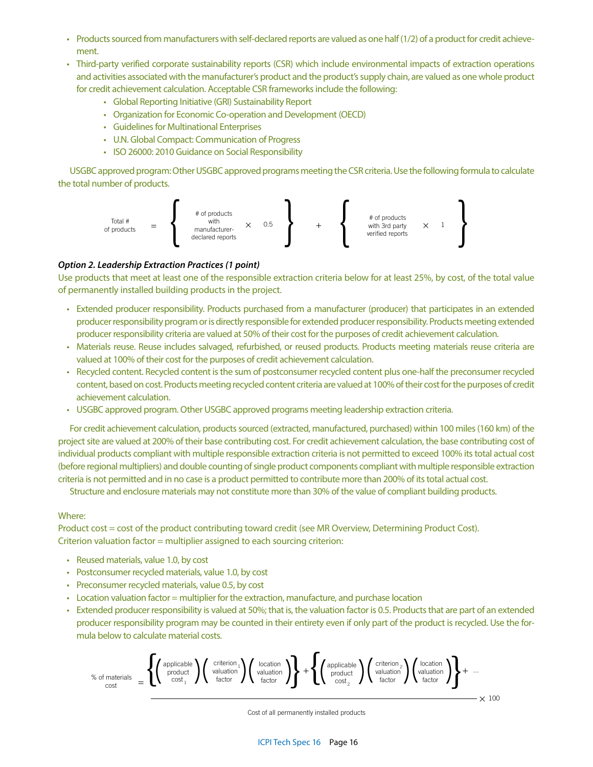- Products sourced from manufacturers with self-declared reports are valued as one half (1/2) of a product for credit achievement.
- Third-party verified corporate sustainability reports (CSR) which include environmental impacts of extraction operations and activities associated with the manufacturer's product and the product's supply chain, are valued as one whole product for credit achievement calculation. Acceptable CSR frameworks include the following:
	- Global Reporting Initiative (GRI) Sustainability Report
	- Organization for Economic Co-operation and Development (OECD)
	- Guidelines for Multinational Enterprises
	- U.N. Global Compact: Communication of Progress
	- ISO 26000: 2010 Guidance on Social Responsibility

USGBC approved program: Other USGBC approved programs meeting the CSR criteria. Use the following formula to calculate the total number of products.



# *Option 2. Leadership Extraction Practices (1 point)*

Use products that meet at least one of the responsible extraction criteria below for at least 25%, by cost, of the total value of permanently installed building products in the project.

- Extended producer responsibility. Products purchased from a manufacturer (producer) that participates in an extended producer responsibility program or is directly responsible for extended producer responsibility. Products meeting extended producer responsibility criteria are valued at 50% of their cost for the purposes of credit achievement calculation.
- Materials reuse. Reuse includes salvaged, refurbished, or reused products. Products meeting materials reuse criteria are valued at 100% of their cost for the purposes of credit achievement calculation.
- Recycled content. Recycled content is the sum of postconsumer recycled content plus one-half the preconsumer recycled content, based on cost. Products meeting recycled content criteria are valued at 100% of their cost for the purposes of credit achievement calculation.
- USGBC approved program. Other USGBC approved programs meeting leadership extraction criteria.

For credit achievement calculation, products sourced (extracted, manufactured, purchased) within 100 miles (160 km) of the project site are valued at 200% of their base contributing cost. For credit achievement calculation, the base contributing cost of individual products compliant with multiple responsible extraction criteria is not permitted to exceed 100% its total actual cost (before regional multipliers) and double counting of single product components compliant with multiple responsible extraction criteria is not permitted and in no case is a product permitted to contribute more than 200% of its total actual cost.

Structure and enclosure materials may not constitute more than 30% of the value of compliant building products.

# Where:

Product cost = cost of the product contributing toward credit (see MR Overview, Determining Product Cost). Criterion valuation factor = multiplier assigned to each sourcing criterion:

- Reused materials, value 1.0, by cost
- Postconsumer recycled materials, value 1.0, by cost
- Preconsumer recycled materials, value 0.5, by cost
- Location valuation factor = multiplier for the extraction, manufacture, and purchase location
- Extended producer responsibility is valued at 50%; that is, the valuation factor is 0.5. Products that are part of an extended producer responsibility program may be counted in their entirety even if only part of the product is recycled. Use the formula below to calculate material costs.

$$
\% \text{ of materials } = \left\{ \left( \begin{array}{c} \text{applicable} \\ \text{product} \\ \text{cost}_1 \end{array} \right) \left( \begin{array}{c} \text{criterion} \\ \text{valuation} \\ \text{factor} \end{array} \right) \right\} + \left\{ \left( \begin{array}{c} \text{hocation} \\ \text{product} \\ \text{cost}_2 \end{array} \right) \left( \begin{array}{c} \text{criterion} \\ \text{valuation} \\ \text{factor} \end{array} \right) \right\} + \dots
$$
\n
$$
\times 100
$$

Cost of all permanently installed products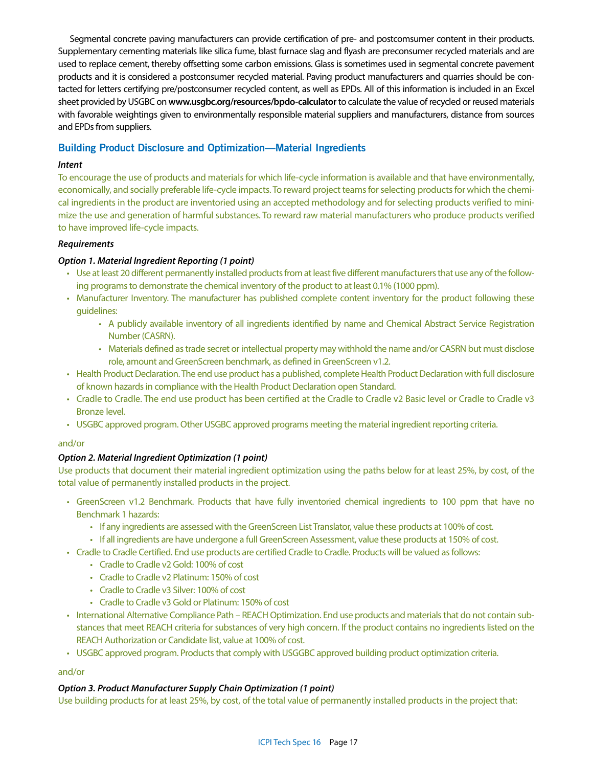Segmental concrete paving manufacturers can provide certification of pre- and postcomsumer content in their products. Supplementary cementing materials like silica fume, blast furnace slag and flyash are preconsumer recycled materials and are used to replace cement, thereby offsetting some carbon emissions. Glass is sometimes used in segmental concrete pavement products and it is considered a postconsumer recycled material. Paving product manufacturers and quarries should be contacted for letters certifying pre/postconsumer recycled content, as well as EPDs. All of this information is included in an Excel sheet provided by USGBC on **www.usgbc.org/resources/bpdo-calculator** to calculate the value of recycled or reused materials with favorable weightings given to environmentally responsible material suppliers and manufacturers, distance from sources and EPDs from suppliers.

# **Building Product Disclosure and Optimization—Material Ingredients**

# *Intent*

To encourage the use of products and materials for which life-cycle information is available and that have environmentally, economically, and socially preferable life-cycle impacts. To reward project teams for selecting products for which the chemical ingredients in the product are inventoried using an accepted methodology and for selecting products verified to minimize the use and generation of harmful substances. To reward raw material manufacturers who produce products verified to have improved life-cycle impacts.

# *Requirements*

# *Option 1. Material Ingredient Reporting (1 point)*

- Use at least 20 different permanently installed products from at least five different manufacturers that use any of the following programs to demonstrate the chemical inventory of the product to at least 0.1% (1000 ppm).
- Manufacturer Inventory. The manufacturer has published complete content inventory for the product following these guidelines:
	- A publicly available inventory of all ingredients identified by name and Chemical Abstract Service Registration Number (CASRN).
	- Materials defined as trade secret or intellectual property may withhold the name and/or CASRN but must disclose role, amount and GreenScreen benchmark, as defined in GreenScreen v1.2.
- Health Product Declaration. The end use product has a published, complete Health Product Declaration with full disclosure of known hazards in compliance with the Health Product Declaration open Standard.
- Cradle to Cradle. The end use product has been certified at the Cradle to Cradle v2 Basic level or Cradle to Cradle v3 Bronze level.
- USGBC approved program. Other USGBC approved programs meeting the material ingredient reporting criteria.

# and/or

# *Option 2. Material Ingredient Optimization (1 point)*

Use products that document their material ingredient optimization using the paths below for at least 25%, by cost, of the total value of permanently installed products in the project.

- GreenScreen v1.2 Benchmark. Products that have fully inventoried chemical ingredients to 100 ppm that have no Benchmark 1 hazards:
	- If any ingredients are assessed with the GreenScreen List Translator, value these products at 100% of cost.
	- If all ingredients are have undergone a full GreenScreen Assessment, value these products at 150% of cost.
- Cradle to Cradle Certified. End use products are certified Cradle to Cradle. Products will be valued as follows:
	- Cradle to Cradle v2 Gold: 100% of cost
	- Cradle to Cradle v2 Platinum: 150% of cost
	- Cradle to Cradle v3 Silver: 100% of cost
	- Cradle to Cradle v3 Gold or Platinum: 150% of cost
- International Alternative Compliance Path REACH Optimization. End use products and materials that do not contain substances that meet REACH criteria for substances of very high concern. If the product contains no ingredients listed on the REACH Authorization or Candidate list, value at 100% of cost.
- USGBC approved program. Products that comply with USGGBC approved building product optimization criteria.

# and/or

# *Option 3. Product Manufacturer Supply Chain Optimization (1 point)*

Use building products for at least 25%, by cost, of the total value of permanently installed products in the project that: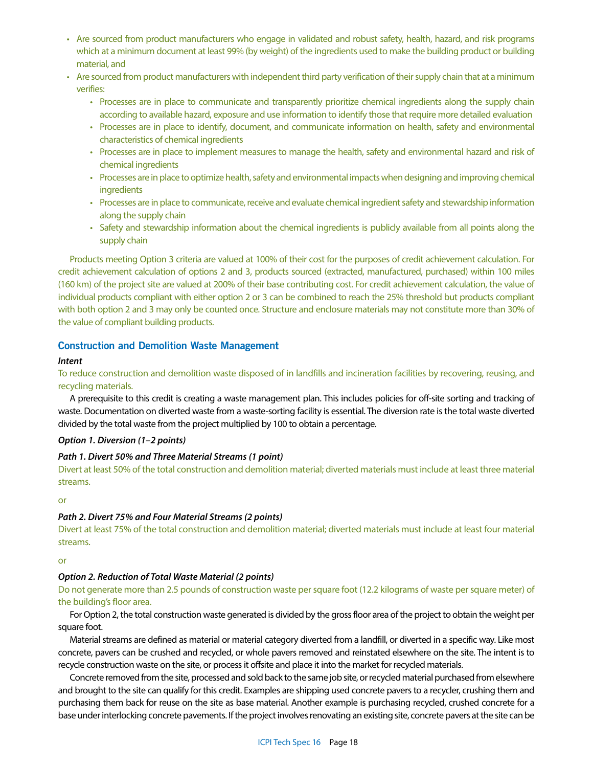- Are sourced from product manufacturers who engage in validated and robust safety, health, hazard, and risk programs which at a minimum document at least 99% (by weight) of the ingredients used to make the building product or building material, and
- Are sourced from product manufacturers with independent third party verification of their supply chain that at a minimum verifies:
	- Processes are in place to communicate and transparently prioritize chemical ingredients along the supply chain according to available hazard, exposure and use information to identify those that require more detailed evaluation
	- Processes are in place to identify, document, and communicate information on health, safety and environmental characteristics of chemical ingredients
	- Processes are in place to implement measures to manage the health, safety and environmental hazard and risk of chemical ingredients
	- Processes are in place to optimize health, safety and environmental impacts when designing and improving chemical ingredients
	- Processes are in place to communicate, receive and evaluate chemical ingredient safety and stewardship information along the supply chain
	- Safety and stewardship information about the chemical ingredients is publicly available from all points along the supply chain

Products meeting Option 3 criteria are valued at 100% of their cost for the purposes of credit achievement calculation. For credit achievement calculation of options 2 and 3, products sourced (extracted, manufactured, purchased) within 100 miles (160 km) of the project site are valued at 200% of their base contributing cost. For credit achievement calculation, the value of individual products compliant with either option 2 or 3 can be combined to reach the 25% threshold but products compliant with both option 2 and 3 may only be counted once. Structure and enclosure materials may not constitute more than 30% of the value of compliant building products.

# **Construction and Demolition Waste Management**

### *Intent*

To reduce construction and demolition waste disposed of in landfills and incineration facilities by recovering, reusing, and recycling materials.

A prerequisite to this credit is creating a waste management plan. This includes policies for off-site sorting and tracking of waste. Documentation on diverted waste from a waste-sorting facility is essential. The diversion rate is the total waste diverted divided by the total waste from the project multiplied by 100 to obtain a percentage.

# *Option 1. Diversion (1–2 points)*

# *Path 1. Divert 50% and Three Material Streams (1 point)*

Divert at least 50% of the total construction and demolition material; diverted materials must include at least three material streams.

#### or

# *Path 2. Divert 75% and Four Material Streams (2 points)*

Divert at least 75% of the total construction and demolition material; diverted materials must include at least four material streams.

#### or

#### *Option 2. Reduction of Total Waste Material (2 points)*

Do not generate more than 2.5 pounds of construction waste per square foot (12.2 kilograms of waste per square meter) of the building's floor area.

For Option 2, the total construction waste generated is divided by the gross floor area of the project to obtain the weight per square foot.

Material streams are defined as material or material category diverted from a landfill, or diverted in a specific way. Like most concrete, pavers can be crushed and recycled, or whole pavers removed and reinstated elsewhere on the site. The intent is to recycle construction waste on the site, or process it offsite and place it into the market for recycled materials.

Concrete removed from the site, processed and sold back to the same job site, or recycled material purchased from elsewhere and brought to the site can qualify for this credit. Examples are shipping used concrete pavers to a recycler, crushing them and purchasing them back for reuse on the site as base material. Another example is purchasing recycled, crushed concrete for a base under interlocking concrete pavements. If the project involves renovating an existing site, concrete pavers at the site can be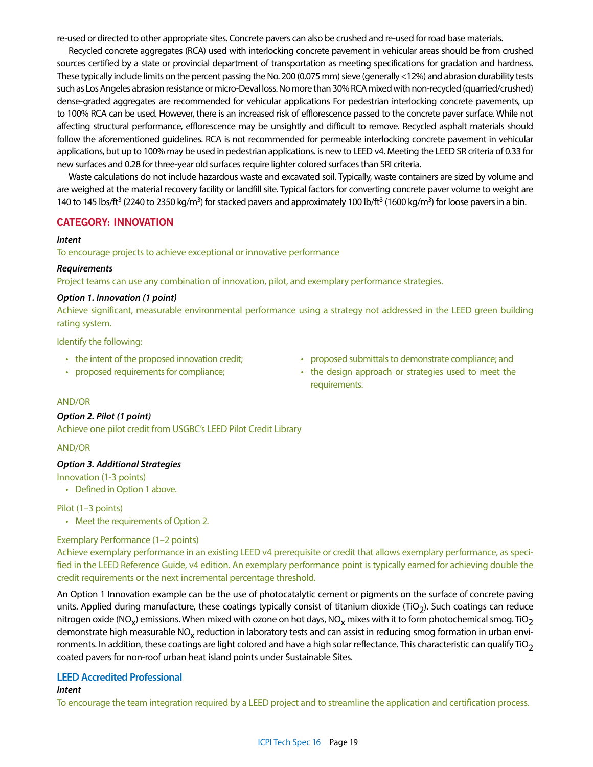re-used or directed to other appropriate sites. Concrete pavers can also be crushed and re-used for road base materials.

Recycled concrete aggregates (RCA) used with interlocking concrete pavement in vehicular areas should be from crushed sources certified by a state or provincial department of transportation as meeting specifications for gradation and hardness. These typically include limits on the percent passing the No. 200 (0.075 mm) sieve (generally <12%) and abrasion durability tests such as Los Angeles abrasion resistance or micro-Deval loss. No more than 30% RCA mixed with non-recycled (quarried/crushed) dense-graded aggregates are recommended for vehicular applications For pedestrian interlocking concrete pavements, up to 100% RCA can be used. However, there is an increased risk of efflorescence passed to the concrete paver surface. While not affecting structural performance, efflorescence may be unsightly and difficult to remove. Recycled asphalt materials should follow the aforementioned guidelines. RCA is not recommended for permeable interlocking concrete pavement in vehicular applications, but up to 100% may be used in pedestrian applications. is new to LEED v4. Meeting the LEED SR criteria of 0.33 for new surfaces and 0.28 for three-year old surfaces require lighter colored surfaces than SRI criteria.

Waste calculations do not include hazardous waste and excavated soil. Typically, waste containers are sized by volume and are weighed at the material recovery facility or landfill site. Typical factors for converting concrete paver volume to weight are 140 to 145 lbs/ft<sup>3</sup> (2240 to 2350 kg/m<sup>3</sup>) for stacked pavers and approximately 100 lb/ft<sup>3</sup> (1600 kg/m<sup>3</sup>) for loose pavers in a bin.

# **CATEGORY: INNOVATION**

#### *Intent*

To encourage projects to achieve exceptional or innovative performance

#### *Requirements*

Project teams can use any combination of innovation, pilot, and exemplary performance strategies.

#### *Option 1. Innovation (1 point)*

Achieve significant, measurable environmental performance using a strategy not addressed in the LEED green building rating system.

Identify the following:

- the intent of the proposed innovation credit;
- proposed requirements for compliance;
- proposed submittals to demonstrate compliance; and
- the design approach or strategies used to meet the requirements.

#### AND/OR

#### *Option 2. Pilot (1 point)*

Achieve one pilot credit from USGBC's LEED Pilot Credit Library

#### AND/OR

#### *Option 3. Additional Strategies*

Innovation (1-3 points)

• Defined in Option 1 above.

## Pilot (1–3 points)

• Meet the requirements of Option 2.

#### Exemplary Performance (1–2 points)

Achieve exemplary performance in an existing LEED v4 prerequisite or credit that allows exemplary performance, as specified in the LEED Reference Guide, v4 edition. An exemplary performance point is typically earned for achieving double the credit requirements or the next incremental percentage threshold.

An Option 1 Innovation example can be the use of photocatalytic cement or pigments on the surface of concrete paving units. Applied during manufacture, these coatings typically consist of titanium dioxide ( $TiO<sub>2</sub>$ ). Such coatings can reduce nitrogen oxide (NO<sub>x</sub>) emissions. When mixed with ozone on hot days, NO<sub>x</sub> mixes with it to form photochemical smog. TiO<sub>2</sub> demonstrate high measurable NO<sub>x</sub> reduction in laboratory tests and can assist in reducing smog formation in urban environments. In addition, these coatings are light colored and have a high solar reflectance. This characteristic can qualify  $TiO<sub>2</sub>$ coated pavers for non-roof urban heat island points under Sustainable Sites.

# **LEED Accredited Professional**

# *Intent*

To encourage the team integration required by a LEED project and to streamline the application and certification process.